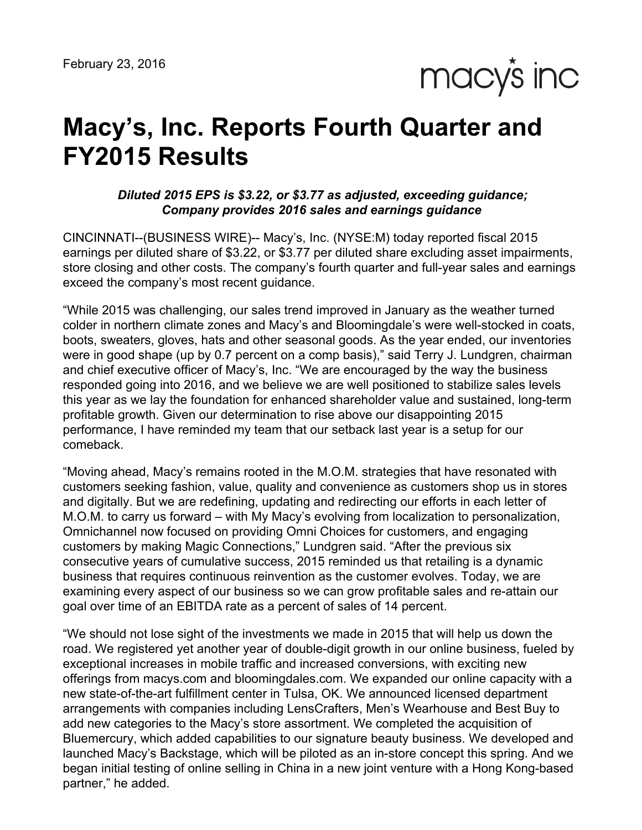macy's inc

# **Macy's, Inc. Reports Fourth Quarter and FY2015 Results**

*Diluted 2015 EPS is \$3.22, or \$3.77 as adjusted, exceeding guidance; Company provides 2016 sales and earnings guidance*

CINCINNATI--(BUSINESS WIRE)-- Macy's, Inc. (NYSE:M) today reported fiscal 2015 earnings per diluted share of \$3.22, or \$3.77 per diluted share excluding asset impairments, store closing and other costs. The company's fourth quarter and full-year sales and earnings exceed the company's most recent guidance.

"While 2015 was challenging, our sales trend improved in January as the weather turned colder in northern climate zones and Macy's and Bloomingdale's were well-stocked in coats, boots, sweaters, gloves, hats and other seasonal goods. As the year ended, our inventories were in good shape (up by 0.7 percent on a comp basis)," said Terry J. Lundgren, chairman and chief executive officer of Macy's, Inc. "We are encouraged by the way the business responded going into 2016, and we believe we are well positioned to stabilize sales levels this year as we lay the foundation for enhanced shareholder value and sustained, long-term profitable growth. Given our determination to rise above our disappointing 2015 performance, I have reminded my team that our setback last year is a setup for our comeback.

"Moving ahead, Macy's remains rooted in the M.O.M. strategies that have resonated with customers seeking fashion, value, quality and convenience as customers shop us in stores and digitally. But we are redefining, updating and redirecting our efforts in each letter of M.O.M. to carry us forward – with My Macy's evolving from localization to personalization, Omnichannel now focused on providing Omni Choices for customers, and engaging customers by making Magic Connections," Lundgren said. "After the previous six consecutive years of cumulative success, 2015 reminded us that retailing is a dynamic business that requires continuous reinvention as the customer evolves. Today, we are examining every aspect of our business so we can grow profitable sales and re-attain our goal over time of an EBITDA rate as a percent of sales of 14 percent.

"We should not lose sight of the investments we made in 2015 that will help us down the road. We registered yet another year of double-digit growth in our online business, fueled by exceptional increases in mobile traffic and increased conversions, with exciting new offerings from macys.com and bloomingdales.com. We expanded our online capacity with a new state-of-the-art fulfillment center in Tulsa, OK. We announced licensed department arrangements with companies including LensCrafters, Men's Wearhouse and Best Buy to add new categories to the Macy's store assortment. We completed the acquisition of Bluemercury, which added capabilities to our signature beauty business. We developed and launched Macy's Backstage, which will be piloted as an in-store concept this spring. And we began initial testing of online selling in China in a new joint venture with a Hong Kong-based partner," he added.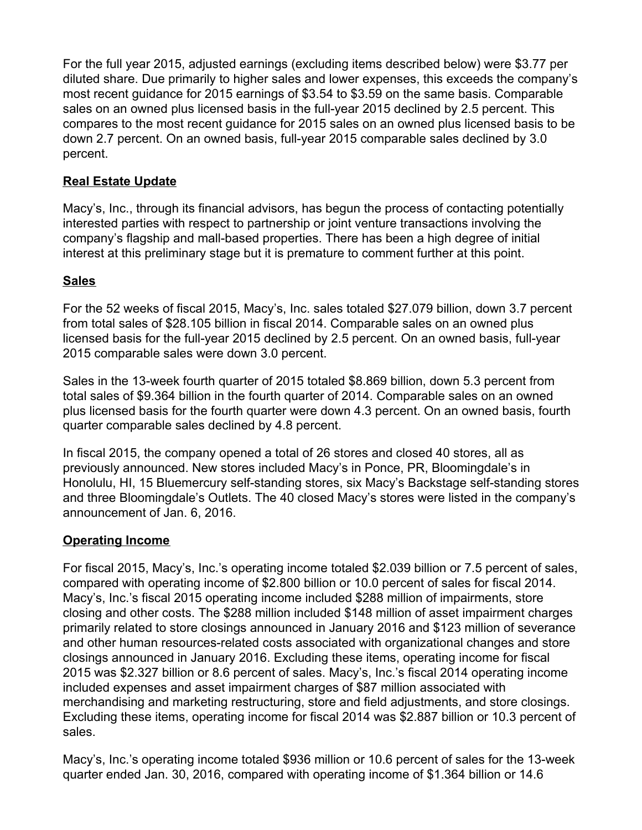For the full year 2015, adjusted earnings (excluding items described below) were \$3.77 per diluted share. Due primarily to higher sales and lower expenses, this exceeds the company's most recent guidance for 2015 earnings of \$3.54 to \$3.59 on the same basis. Comparable sales on an owned plus licensed basis in the full-year 2015 declined by 2.5 percent. This compares to the most recent guidance for 2015 sales on an owned plus licensed basis to be down 2.7 percent. On an owned basis, full-year 2015 comparable sales declined by 3.0 percent.

# **Real Estate Update**

Macy's, Inc., through its financial advisors, has begun the process of contacting potentially interested parties with respect to partnership or joint venture transactions involving the company's flagship and mall-based properties. There has been a high degree of initial interest at this preliminary stage but it is premature to comment further at this point.

# **Sales**

For the 52 weeks of fiscal 2015, Macy's, Inc. sales totaled \$27.079 billion, down 3.7 percent from total sales of \$28.105 billion in fiscal 2014. Comparable sales on an owned plus licensed basis for the full-year 2015 declined by 2.5 percent. On an owned basis, full-year 2015 comparable sales were down 3.0 percent.

Sales in the 13-week fourth quarter of 2015 totaled \$8.869 billion, down 5.3 percent from total sales of \$9.364 billion in the fourth quarter of 2014. Comparable sales on an owned plus licensed basis for the fourth quarter were down 4.3 percent. On an owned basis, fourth quarter comparable sales declined by 4.8 percent.

In fiscal 2015, the company opened a total of 26 stores and closed 40 stores, all as previously announced. New stores included Macy's in Ponce, PR, Bloomingdale's in Honolulu, HI, 15 Bluemercury self-standing stores, six Macy's Backstage self-standing stores and three Bloomingdale's Outlets. The 40 closed Macy's stores were listed in the company's announcement of Jan. 6, 2016.

# **Operating Income**

For fiscal 2015, Macy's, Inc.'s operating income totaled \$2.039 billion or 7.5 percent of sales, compared with operating income of \$2.800 billion or 10.0 percent of sales for fiscal 2014. Macy's, Inc.'s fiscal 2015 operating income included \$288 million of impairments, store closing and other costs. The \$288 million included \$148 million of asset impairment charges primarily related to store closings announced in January 2016 and \$123 million of severance and other human resources-related costs associated with organizational changes and store closings announced in January 2016. Excluding these items, operating income for fiscal 2015 was \$2.327 billion or 8.6 percent of sales. Macy's, Inc.'s fiscal 2014 operating income included expenses and asset impairment charges of \$87 million associated with merchandising and marketing restructuring, store and field adjustments, and store closings. Excluding these items, operating income for fiscal 2014 was \$2.887 billion or 10.3 percent of sales.

Macy's, Inc.'s operating income totaled \$936 million or 10.6 percent of sales for the 13-week quarter ended Jan. 30, 2016, compared with operating income of \$1.364 billion or 14.6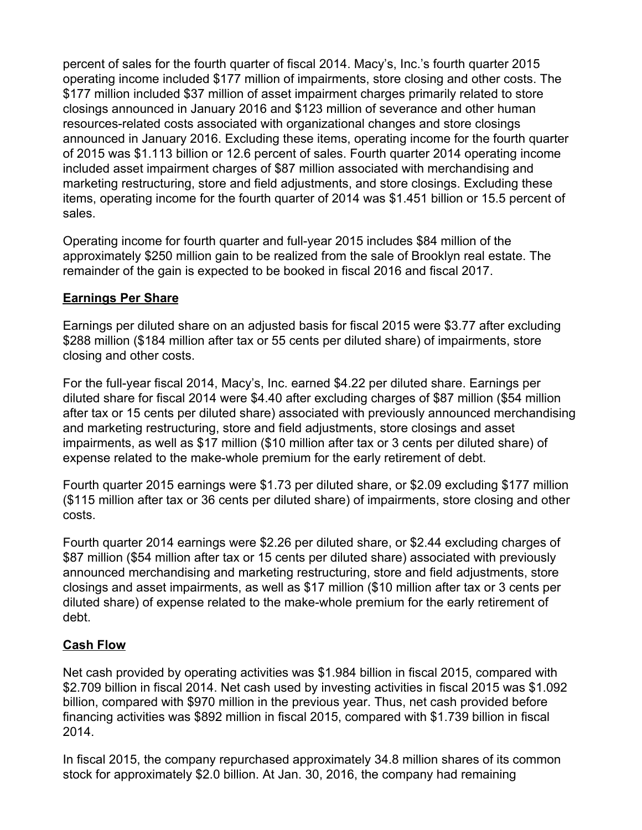percent of sales for the fourth quarter of fiscal 2014. Macy's, Inc.'s fourth quarter 2015 operating income included \$177 million of impairments, store closing and other costs. The \$177 million included \$37 million of asset impairment charges primarily related to store closings announced in January 2016 and \$123 million of severance and other human resources-related costs associated with organizational changes and store closings announced in January 2016. Excluding these items, operating income for the fourth quarter of 2015 was \$1.113 billion or 12.6 percent of sales. Fourth quarter 2014 operating income included asset impairment charges of \$87 million associated with merchandising and marketing restructuring, store and field adjustments, and store closings. Excluding these items, operating income for the fourth quarter of 2014 was \$1.451 billion or 15.5 percent of sales.

Operating income for fourth quarter and full-year 2015 includes \$84 million of the approximately \$250 million gain to be realized from the sale of Brooklyn real estate. The remainder of the gain is expected to be booked in fiscal 2016 and fiscal 2017.

# **Earnings Per Share**

Earnings per diluted share on an adjusted basis for fiscal 2015 were \$3.77 after excluding \$288 million (\$184 million after tax or 55 cents per diluted share) of impairments, store closing and other costs.

For the full-year fiscal 2014, Macy's, Inc. earned \$4.22 per diluted share. Earnings per diluted share for fiscal 2014 were \$4.40 after excluding charges of \$87 million (\$54 million after tax or 15 cents per diluted share) associated with previously announced merchandising and marketing restructuring, store and field adjustments, store closings and asset impairments, as well as \$17 million (\$10 million after tax or 3 cents per diluted share) of expense related to the make-whole premium for the early retirement of debt.

Fourth quarter 2015 earnings were \$1.73 per diluted share, or \$2.09 excluding \$177 million (\$115 million after tax or 36 cents per diluted share) of impairments, store closing and other costs.

Fourth quarter 2014 earnings were \$2.26 per diluted share, or \$2.44 excluding charges of \$87 million (\$54 million after tax or 15 cents per diluted share) associated with previously announced merchandising and marketing restructuring, store and field adjustments, store closings and asset impairments, as well as \$17 million (\$10 million after tax or 3 cents per diluted share) of expense related to the make-whole premium for the early retirement of debt.

# **Cash Flow**

Net cash provided by operating activities was \$1.984 billion in fiscal 2015, compared with \$2.709 billion in fiscal 2014. Net cash used by investing activities in fiscal 2015 was \$1.092 billion, compared with \$970 million in the previous year. Thus, net cash provided before financing activities was \$892 million in fiscal 2015, compared with \$1.739 billion in fiscal 2014.

In fiscal 2015, the company repurchased approximately 34.8 million shares of its common stock for approximately \$2.0 billion. At Jan. 30, 2016, the company had remaining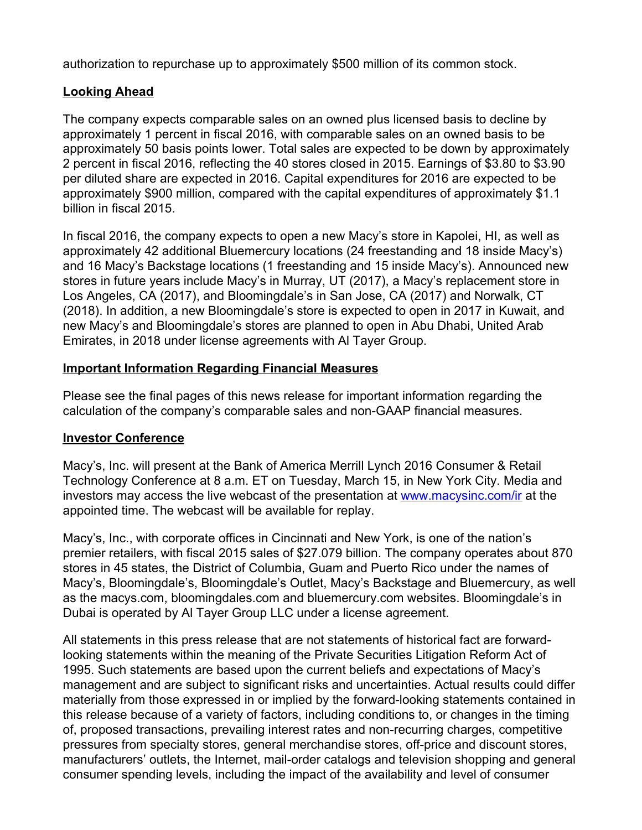authorization to repurchase up to approximately \$500 million of its common stock.

# **Looking Ahead**

The company expects comparable sales on an owned plus licensed basis to decline by approximately 1 percent in fiscal 2016, with comparable sales on an owned basis to be approximately 50 basis points lower. Total sales are expected to be down by approximately 2 percent in fiscal 2016, reflecting the 40 stores closed in 2015. Earnings of \$3.80 to \$3.90 per diluted share are expected in 2016. Capital expenditures for 2016 are expected to be approximately \$900 million, compared with the capital expenditures of approximately \$1.1 billion in fiscal 2015.

In fiscal 2016, the company expects to open a new Macy's store in Kapolei, HI, as well as approximately 42 additional Bluemercury locations (24 freestanding and 18 inside Macy's) and 16 Macy's Backstage locations (1 freestanding and 15 inside Macy's). Announced new stores in future years include Macy's in Murray, UT (2017), a Macy's replacement store in Los Angeles, CA (2017), and Bloomingdale's in San Jose, CA (2017) and Norwalk, CT (2018). In addition, a new Bloomingdale's store is expected to open in 2017 in Kuwait, and new Macy's and Bloomingdale's stores are planned to open in Abu Dhabi, United Arab Emirates, in 2018 under license agreements with Al Tayer Group.

### **Important Information Regarding Financial Measures**

Please see the final pages of this news release for important information regarding the calculation of the company's comparable sales and non-GAAP financial measures.

#### **Investor Conference**

Macy's, Inc. will present at the Bank of America Merrill Lynch 2016 Consumer & Retail Technology Conference at 8 a.m. ET on Tuesday, March 15, in New York City. Media and investors may access the live webcast of the presentation at [www.macysinc.com/ir](http://www.macysinc.com/ir) at the appointed time. The webcast will be available for replay.

Macy's, Inc., with corporate offices in Cincinnati and New York, is one of the nation's premier retailers, with fiscal 2015 sales of \$27.079 billion. The company operates about 870 stores in 45 states, the District of Columbia, Guam and Puerto Rico under the names of Macy's, Bloomingdale's, Bloomingdale's Outlet, Macy's Backstage and Bluemercury, as well as the macys.com, bloomingdales.com and bluemercury.com websites. Bloomingdale's in Dubai is operated by Al Tayer Group LLC under a license agreement.

All statements in this press release that are not statements of historical fact are forwardlooking statements within the meaning of the Private Securities Litigation Reform Act of 1995. Such statements are based upon the current beliefs and expectations of Macy's management and are subject to significant risks and uncertainties. Actual results could differ materially from those expressed in or implied by the forward-looking statements contained in this release because of a variety of factors, including conditions to, or changes in the timing of, proposed transactions, prevailing interest rates and non-recurring charges, competitive pressures from specialty stores, general merchandise stores, off-price and discount stores, manufacturers' outlets, the Internet, mail-order catalogs and television shopping and general consumer spending levels, including the impact of the availability and level of consumer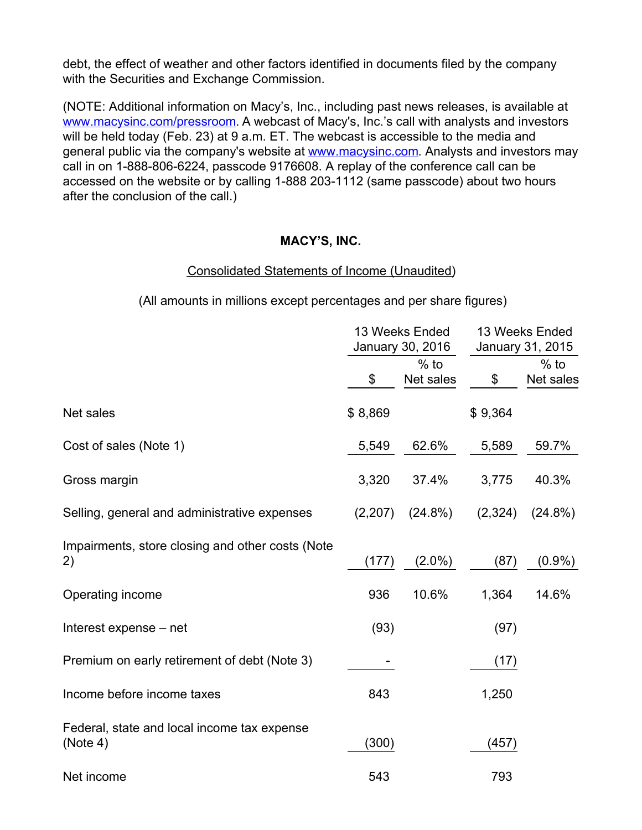debt, the effect of weather and other factors identified in documents filed by the company with the Securities and Exchange Commission.

(NOTE: Additional information on Macy's, Inc., including past news releases, is available at [www.macysinc.com/pressroom](http://www.macysinc.com/pressroom). A webcast of Macy's, Inc.'s call with analysts and investors will be held today (Feb. 23) at 9 a.m. ET. The webcast is accessible to the media and general public via the company's website at [www.macysinc.com](http://www.macysinc.com). Analysts and investors may call in on 1-888-806-6224, passcode 9176608. A replay of the conference call can be accessed on the website or by calling 1-888 203-1112 (same passcode) about two hours after the conclusion of the call.)

# **MACY'S, INC.**

#### Consolidated Statements of Income (Unaudited)

(All amounts in millions except percentages and per share figures)

|                                                         | 13 Weeks Ended<br>January 30, 2016 |                     | 13 Weeks Ended<br>January 31, 2015 |                     |
|---------------------------------------------------------|------------------------------------|---------------------|------------------------------------|---------------------|
|                                                         | \$                                 | $%$ to<br>Net sales | \$                                 | $%$ to<br>Net sales |
| Net sales                                               | \$8,869                            |                     | \$9,364                            |                     |
| Cost of sales (Note 1)                                  | 5,549                              | 62.6%               | 5,589                              | 59.7%               |
| Gross margin                                            | 3,320                              | 37.4%               | 3,775                              | 40.3%               |
| Selling, general and administrative expenses            | (2,207)                            | $(24.8\%)$          | (2,324)                            | $(24.8\%)$          |
| Impairments, store closing and other costs (Note<br>2)  | (177)                              | $(2.0\%)$           | (87)                               | $(0.9\%)$           |
| Operating income                                        | 936                                | 10.6%               | 1,364                              | 14.6%               |
| Interest expense - net                                  | (93)                               |                     | (97)                               |                     |
| Premium on early retirement of debt (Note 3)            |                                    |                     | (17)                               |                     |
| Income before income taxes                              | 843                                |                     | 1,250                              |                     |
| Federal, state and local income tax expense<br>(Note 4) | (300)                              |                     | (457)                              |                     |
| Net income                                              | 543                                |                     | 793                                |                     |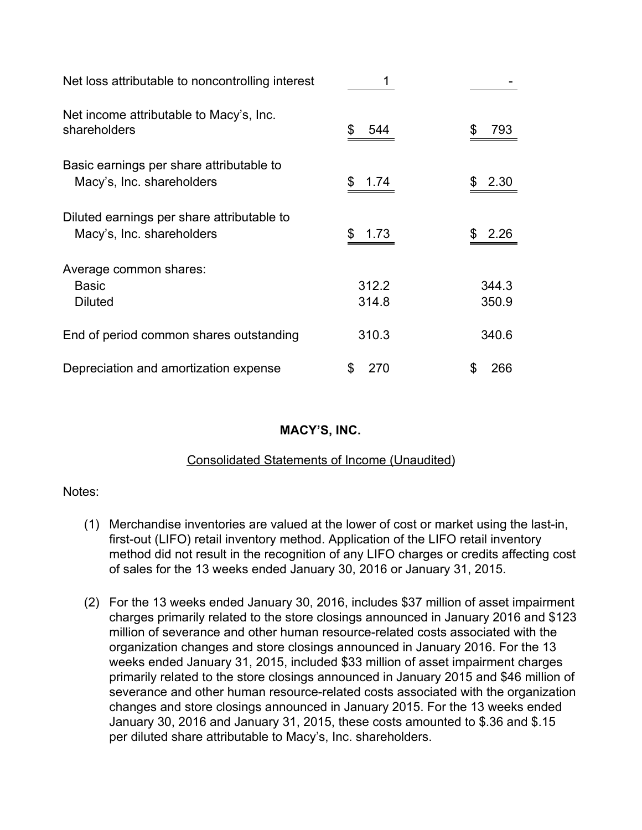| Net loss attributable to noncontrolling interest                        |                |                |
|-------------------------------------------------------------------------|----------------|----------------|
| Net income attributable to Macy's, Inc.<br>shareholders                 | 544            | 793            |
| Basic earnings per share attributable to<br>Macy's, Inc. shareholders   | 1.74           | 2.30           |
| Diluted earnings per share attributable to<br>Macy's, Inc. shareholders | 1.73           | 2.26           |
| Average common shares:<br><b>Basic</b><br><b>Diluted</b>                | 312.2<br>314.8 | 344.3<br>350.9 |
| End of period common shares outstanding                                 | 310.3          | 340.6          |
| Depreciation and amortization expense                                   | \$<br>270      | \$<br>266      |

#### Consolidated Statements of Income (Unaudited)

#### Notes:

- (1) Merchandise inventories are valued at the lower of cost or market using the last-in, first-out (LIFO) retail inventory method. Application of the LIFO retail inventory method did not result in the recognition of any LIFO charges or credits affecting cost of sales for the 13 weeks ended January 30, 2016 or January 31, 2015.
- (2) For the 13 weeks ended January 30, 2016, includes \$37 million of asset impairment charges primarily related to the store closings announced in January 2016 and \$123 million of severance and other human resource-related costs associated with the organization changes and store closings announced in January 2016. For the 13 weeks ended January 31, 2015, included \$33 million of asset impairment charges primarily related to the store closings announced in January 2015 and \$46 million of severance and other human resource-related costs associated with the organization changes and store closings announced in January 2015. For the 13 weeks ended January 30, 2016 and January 31, 2015, these costs amounted to \$.36 and \$.15 per diluted share attributable to Macy's, Inc. shareholders.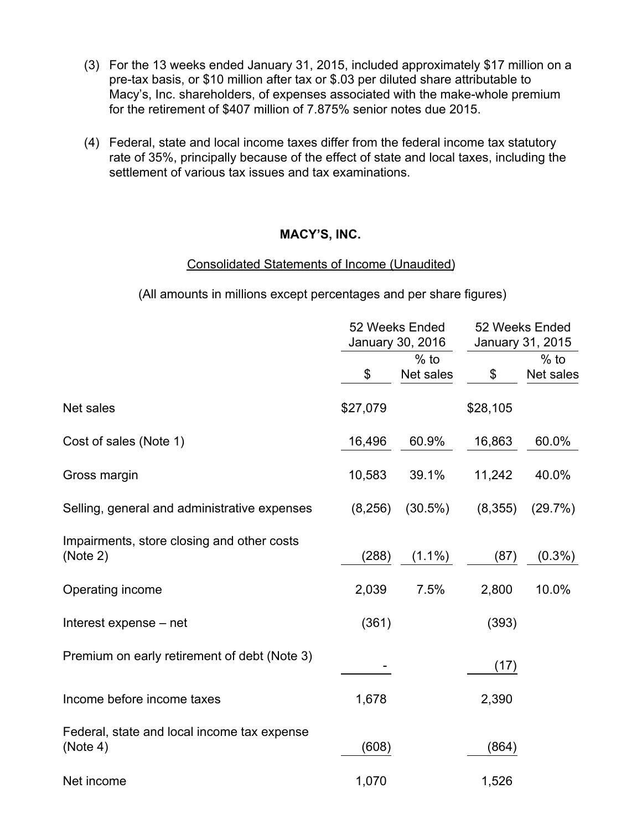- (3) For the 13 weeks ended January 31, 2015, included approximately \$17 million on a pre-tax basis, or \$10 million after tax or \$.03 per diluted share attributable to Macy's, Inc. shareholders, of expenses associated with the make-whole premium for the retirement of \$407 million of 7.875% senior notes due 2015.
- (4) Federal, state and local income taxes differ from the federal income tax statutory rate of 35%, principally because of the effect of state and local taxes, including the settlement of various tax issues and tax examinations.

#### Consolidated Statements of Income (Unaudited)

(All amounts in millions except percentages and per share figures)

|                                                         |          | 52 Weeks Ended<br>January 30, 2016 |          | 52 Weeks Ended<br>January 31, 2015 |  |  |
|---------------------------------------------------------|----------|------------------------------------|----------|------------------------------------|--|--|
|                                                         | \$       | $%$ to<br>Net sales                | \$       | $%$ to<br>Net sales                |  |  |
| Net sales                                               | \$27,079 |                                    | \$28,105 |                                    |  |  |
| Cost of sales (Note 1)                                  | 16,496   | 60.9%                              | 16,863   | 60.0%                              |  |  |
| Gross margin                                            | 10,583   | 39.1%                              | 11,242   | 40.0%                              |  |  |
| Selling, general and administrative expenses            | (8,256)  | $(30.5\%)$                         | (8,355)  | (29.7%)                            |  |  |
| Impairments, store closing and other costs<br>(Note 2)  | (288)    | $(1.1\%)$                          | (87)     | $(0.3\%)$                          |  |  |
| Operating income                                        | 2,039    | 7.5%                               | 2,800    | 10.0%                              |  |  |
| Interest expense – net                                  | (361)    |                                    | (393)    |                                    |  |  |
| Premium on early retirement of debt (Note 3)            |          |                                    | (17)     |                                    |  |  |
| Income before income taxes                              | 1,678    |                                    | 2,390    |                                    |  |  |
| Federal, state and local income tax expense<br>(Note 4) | (608)    |                                    | (864)    |                                    |  |  |
| Net income                                              | 1,070    |                                    | 1,526    |                                    |  |  |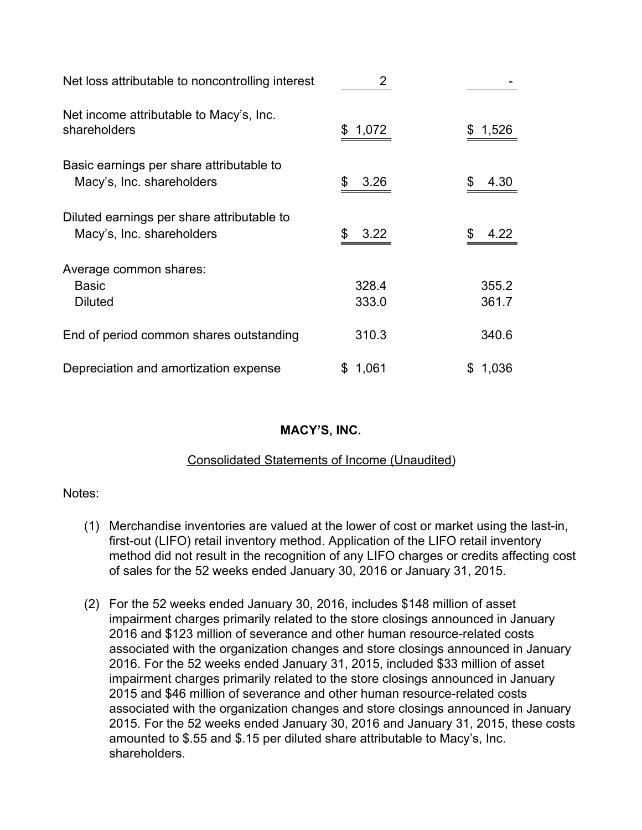| Net loss attributable to noncontrolling interest                        | 2              |                |
|-------------------------------------------------------------------------|----------------|----------------|
| Net income attributable to Macy's, Inc.<br>shareholders                 | 1,072<br>\$    | 1,526<br>\$    |
| Basic earnings per share attributable to<br>Macy's, Inc. shareholders   | \$<br>3.26     | 4.30           |
| Diluted earnings per share attributable to<br>Macy's, Inc. shareholders | \$<br>3.22     | 4.22           |
| Average common shares:<br><b>Basic</b><br><b>Diluted</b>                | 328.4<br>333.0 | 355.2<br>361.7 |
| End of period common shares outstanding                                 | 310.3          | 340.6          |
| Depreciation and amortization expense                                   | 1,061<br>SS.   | \$1,036        |

#### Consolidated Statements of Income (Unaudited)

#### Notes:

- (1) Merchandise inventories are valued at the lower of cost or market using the last-in, first-out (LIFO) retail inventory method. Application of the LIFO retail inventory method did not result in the recognition of any LIFO charges or credits affecting cost of sales for the 52 weeks ended January 30, 2016 or January 31, 2015.
- (2) For the 52 weeks ended January 30, 2016, includes \$148 million of asset impairment charges primarily related to the store closings announced in January 2016 and \$123 million of severance and other human resource-related costs associated with the organization changes and store closings announced in January 2016. For the 52 weeks ended January 31, 2015, included \$33 million of asset impairment charges primarily related to the store closings announced in January 2015 and \$46 million of severance and other human resource-related costs associated with the organization changes and store closings announced in January 2015. For the 52 weeks ended January 30, 2016 and January 31, 2015, these costs amounted to \$.55 and \$.15 per diluted share attributable to Macy's, Inc. shareholders.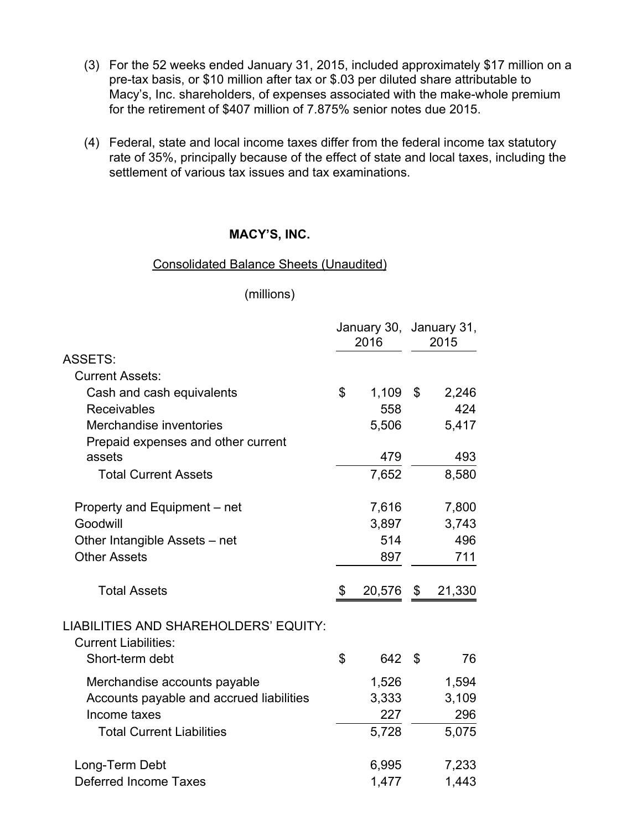- (3) For the 52 weeks ended January 31, 2015, included approximately \$17 million on a pre-tax basis, or \$10 million after tax or \$.03 per diluted share attributable to Macy's, Inc. shareholders, of expenses associated with the make-whole premium for the retirement of \$407 million of 7.875% senior notes due 2015.
- (4) Federal, state and local income taxes differ from the federal income tax statutory rate of 35%, principally because of the effect of state and local taxes, including the settlement of various tax issues and tax examinations.

#### Consolidated Balance Sheets (Unaudited)

#### (millions)

|                                                                      | January 30, January 31,<br>2016 |        | 2015 |        |
|----------------------------------------------------------------------|---------------------------------|--------|------|--------|
| <b>ASSETS:</b>                                                       |                                 |        |      |        |
| <b>Current Assets:</b>                                               |                                 |        |      |        |
| Cash and cash equivalents                                            | \$                              | 1,109  | \$   | 2,246  |
| <b>Receivables</b>                                                   |                                 | 558    |      | 424    |
| Merchandise inventories                                              |                                 | 5,506  |      | 5,417  |
| Prepaid expenses and other current                                   |                                 |        |      |        |
| assets                                                               |                                 | 479    |      | 493    |
| <b>Total Current Assets</b>                                          |                                 | 7,652  |      | 8,580  |
| Property and Equipment – net                                         |                                 | 7,616  |      | 7,800  |
| Goodwill                                                             |                                 | 3,897  |      | 3,743  |
| Other Intangible Assets - net                                        |                                 | 514    |      | 496    |
| <b>Other Assets</b>                                                  |                                 | 897    |      | 711    |
| <b>Total Assets</b>                                                  | \$                              | 20,576 | \$   | 21,330 |
| LIABILITIES AND SHAREHOLDERS' EQUITY:<br><b>Current Liabilities:</b> |                                 |        |      |        |
| Short-term debt                                                      | \$                              | 642    | \$   | 76     |
| Merchandise accounts payable                                         |                                 | 1,526  |      | 1,594  |
| Accounts payable and accrued liabilities                             |                                 | 3,333  |      | 3,109  |
| Income taxes                                                         |                                 | 227    |      | 296    |
| <b>Total Current Liabilities</b>                                     |                                 | 5,728  |      | 5,075  |
| Long-Term Debt                                                       |                                 | 6,995  |      | 7,233  |
| <b>Deferred Income Taxes</b>                                         |                                 | 1,477  |      | 1,443  |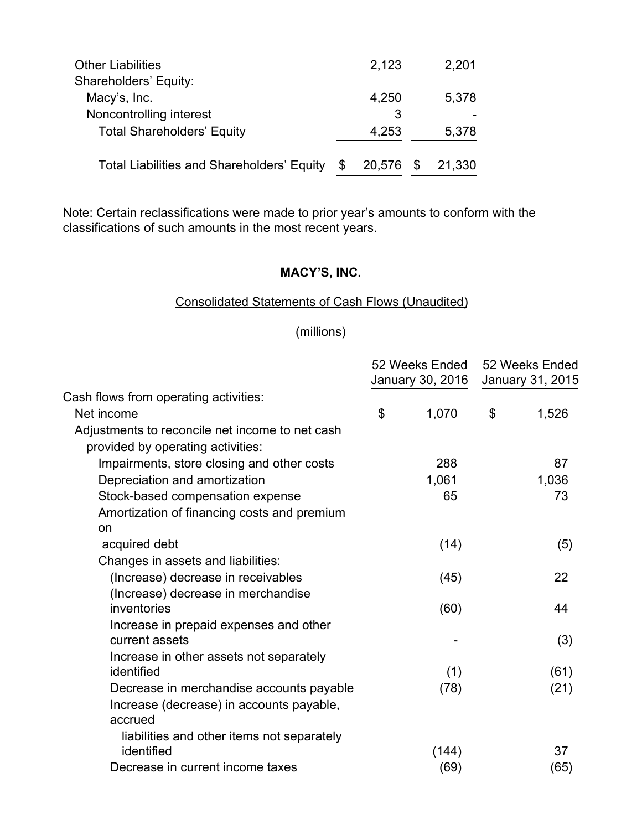| <b>Other Liabilities</b>                          | 2,123  | 2,201  |
|---------------------------------------------------|--------|--------|
| Shareholders' Equity:                             |        |        |
| Macy's, Inc.                                      | 4,250  | 5,378  |
| Noncontrolling interest                           | 3      |        |
| <b>Total Shareholders' Equity</b>                 | 4,253  | 5,378  |
| <b>Total Liabilities and Shareholders' Equity</b> | 20,576 | 21,330 |

Note: Certain reclassifications were made to prior year's amounts to conform with the classifications of such amounts in the most recent years.

### **MACY'S, INC.**

# Consolidated Statements of Cash Flows (Unaudited)

# (millions)

|                                                          |    | 52 Weeks Ended<br>January 30, 2016 |    | 52 Weeks Ended<br>January 31, 2015 |  |
|----------------------------------------------------------|----|------------------------------------|----|------------------------------------|--|
| Cash flows from operating activities:                    |    |                                    |    |                                    |  |
| Net income                                               | \$ | 1,070                              | \$ | 1,526                              |  |
| Adjustments to reconcile net income to net cash          |    |                                    |    |                                    |  |
| provided by operating activities:                        |    |                                    |    |                                    |  |
| Impairments, store closing and other costs               |    | 288                                |    | 87                                 |  |
| Depreciation and amortization                            |    | 1,061                              |    | 1,036                              |  |
| Stock-based compensation expense                         |    | 65                                 |    | 73                                 |  |
| Amortization of financing costs and premium              |    |                                    |    |                                    |  |
| on                                                       |    |                                    |    |                                    |  |
| acquired debt                                            |    | (14)                               |    | (5)                                |  |
| Changes in assets and liabilities:                       |    |                                    |    |                                    |  |
| (Increase) decrease in receivables                       |    | (45)                               |    | 22                                 |  |
| (Increase) decrease in merchandise                       |    |                                    |    |                                    |  |
| inventories                                              |    | (60)                               |    | 44                                 |  |
| Increase in prepaid expenses and other                   |    |                                    |    |                                    |  |
| current assets                                           |    |                                    |    | (3)                                |  |
| Increase in other assets not separately                  |    |                                    |    |                                    |  |
| identified                                               |    | (1)                                |    | (61)                               |  |
| Decrease in merchandise accounts payable                 |    | (78)                               |    | (21)                               |  |
| Increase (decrease) in accounts payable,<br>accrued      |    |                                    |    |                                    |  |
|                                                          |    |                                    |    |                                    |  |
| liabilities and other items not separately<br>identified |    | (144)                              |    | 37                                 |  |
| Decrease in current income taxes                         |    | (69)                               |    | (65)                               |  |
|                                                          |    |                                    |    |                                    |  |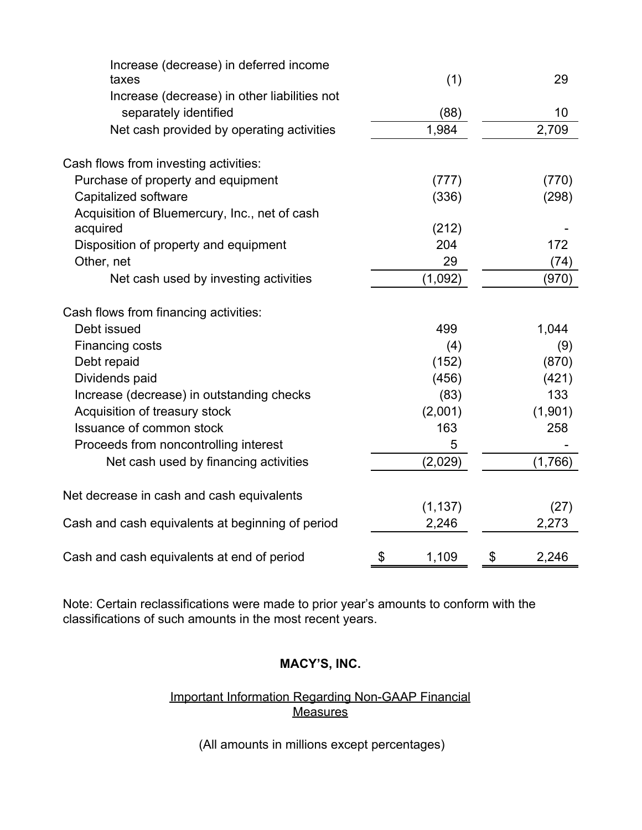| Increase (decrease) in deferred income           |             |             |
|--------------------------------------------------|-------------|-------------|
| taxes                                            | (1)         | 29          |
| Increase (decrease) in other liabilities not     |             |             |
| separately identified                            | (88)        | 10          |
| Net cash provided by operating activities        | 1,984       | 2,709       |
| Cash flows from investing activities:            |             |             |
| Purchase of property and equipment               | (777)       | (770)       |
| Capitalized software                             | (336)       | (298)       |
| Acquisition of Bluemercury, Inc., net of cash    |             |             |
| acquired                                         | (212)       |             |
| Disposition of property and equipment            | 204         | 172         |
| Other, net                                       | 29          | (74)        |
| Net cash used by investing activities            | (1,092)     | (970)       |
| Cash flows from financing activities:            |             |             |
| Debt issued                                      | 499         | 1,044       |
| Financing costs                                  | (4)         | (9)         |
| Debt repaid                                      | (152)       | (870)       |
| Dividends paid                                   | (456)       | (421)       |
| Increase (decrease) in outstanding checks        | (83)        | 133         |
| Acquisition of treasury stock                    | (2,001)     | (1,901)     |
| Issuance of common stock                         | 163         | 258         |
| Proceeds from noncontrolling interest            | 5           |             |
| Net cash used by financing activities            | (2,029)     | (1,766)     |
| Net decrease in cash and cash equivalents        |             |             |
|                                                  | (1, 137)    | (27)        |
| Cash and cash equivalents at beginning of period | 2,246       | 2,273       |
| Cash and cash equivalents at end of period       | \$<br>1,109 | \$<br>2,246 |

Note: Certain reclassifications were made to prior year's amounts to conform with the classifications of such amounts in the most recent years.

# **MACY'S, INC.**

# Important Information Regarding Non-GAAP Financial **Measures**

(All amounts in millions except percentages)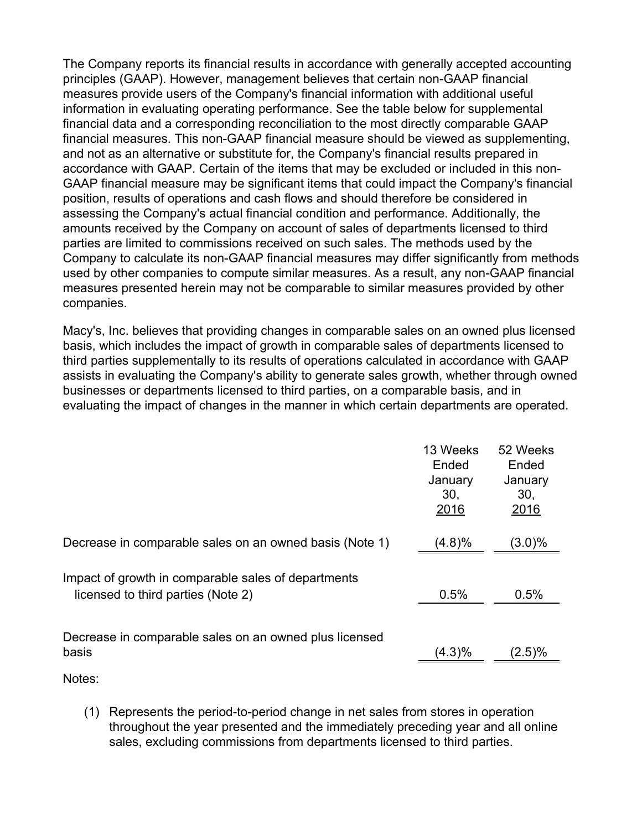The Company reports its financial results in accordance with generally accepted accounting principles (GAAP). However, management believes that certain non-GAAP financial measures provide users of the Company's financial information with additional useful information in evaluating operating performance. See the table below for supplemental financial data and a corresponding reconciliation to the most directly comparable GAAP financial measures. This non-GAAP financial measure should be viewed as supplementing, and not as an alternative or substitute for, the Company's financial results prepared in accordance with GAAP. Certain of the items that may be excluded or included in this non-GAAP financial measure may be significant items that could impact the Company's financial position, results of operations and cash flows and should therefore be considered in assessing the Company's actual financial condition and performance. Additionally, the amounts received by the Company on account of sales of departments licensed to third parties are limited to commissions received on such sales. The methods used by the Company to calculate its non-GAAP financial measures may differ significantly from methods used by other companies to compute similar measures. As a result, any non-GAAP financial measures presented herein may not be comparable to similar measures provided by other companies.

Macy's, Inc. believes that providing changes in comparable sales on an owned plus licensed basis, which includes the impact of growth in comparable sales of departments licensed to third parties supplementally to its results of operations calculated in accordance with GAAP assists in evaluating the Company's ability to generate sales growth, whether through owned businesses or departments licensed to third parties, on a comparable basis, and in evaluating the impact of changes in the manner in which certain departments are operated.

|                                                                                           | 13 Weeks<br>Ended<br>January<br>30,<br>2016 | 52 Weeks<br>Ended<br>January<br>30,<br>2016 |
|-------------------------------------------------------------------------------------------|---------------------------------------------|---------------------------------------------|
| Decrease in comparable sales on an owned basis (Note 1)                                   | (4.8)%                                      | (3.0)%                                      |
| Impact of growth in comparable sales of departments<br>licensed to third parties (Note 2) | 0.5%                                        | 0.5%                                        |
| Decrease in comparable sales on an owned plus licensed<br>basis                           | $(4.3)\%$                                   | (2.5)%                                      |

Notes:

(1) Represents the period-to-period change in net sales from stores in operation throughout the year presented and the immediately preceding year and all online sales, excluding commissions from departments licensed to third parties.